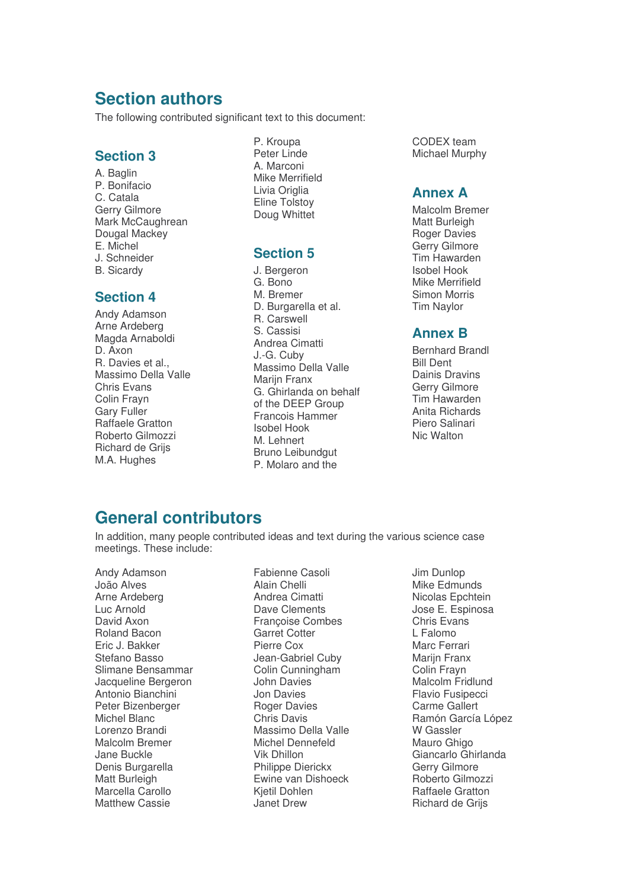# **Section authors**

The following contributed significant text to this document:

#### **Section 3**

A. Baglin P. Bonifacio C. Catala Gerry Gilmore Mark McCaughrean Dougal Mackey E. Michel J. Schneider B. Sicardy

#### **Section 4**

Andy Adamson Arne Ardeberg Magda Arnaboldi D. Axon R. Davies et al., Massimo Della Valle Chris Evans Colin Frayn Gary Fuller Raffaele Gratton Roberto Gilmozzi Richard de Grijs M.A. Hughes

P. Kroupa Peter Linde A. Marconi Mike Merrifield Livia Origlia Eline Tolstoy Doug Whittet

## **Section 5**

J. Bergeron G. Bono M. Bremer D. Burgarella et al. R. Carswell S. Cassisi Andrea Cimatti J.-G. Cuby Massimo Della Valle Marijn Franx G. Ghirlanda on behalf of the DEEP Group Francois Hammer Isobel Hook M. Lehnert Bruno Leibundgut P. Molaro and the

CODEX team Michael Murphy

### **Annex A**

Malcolm Bremer Matt Burleigh Roger Davies Gerry Gilmore Tim Hawarden Isobel Hook Mike Merrifield Simon Morris Tim Naylor

### **Annex B**

Bernhard Brandl Bill Dent Dainis Dravins Gerry Gilmore Tim Hawarden Anita Richards Piero Salinari Nic Walton

# **General contributors**

In addition, many people contributed ideas and text during the various science case meetings. These include:

Andy Adamson João Alves Arne Ardeberg Luc Arnold David Axon Roland Bacon Eric J. Bakker Stefano Basso Slimane Bensammar Jacqueline Bergeron Antonio Bianchini Peter Bizenberger Michel Blanc Lorenzo Brandi Malcolm Bremer Jane Buckle Denis Burgarella Matt Burleigh Marcella Carollo Matthew Cassie

Fabienne Casoli Alain Chelli Andrea Cimatti Dave Clements Françoise Combes Garret Cotter Pierre Cox Jean-Gabriel Cuby Colin Cunningham John Davies Jon Davies Roger Davies Chris Davis Massimo Della Valle Michel Dennefeld Vik Dhillon Philippe Dierickx Ewine van Dishoeck Kjetil Dohlen Janet Drew

Jim Dunlop Mike Edmunds Nicolas Epchtein Jose E. Espinosa Chris Evans L Falomo Marc Ferrari Mariin Franx Colin Frayn Malcolm Fridlund Flavio Fusipecci Carme Gallert Ramón García López W Gassler Mauro Ghigo Giancarlo Ghirlanda Gerry Gilmore Roberto Gilmozzi Raffaele Gratton Richard de Grijs